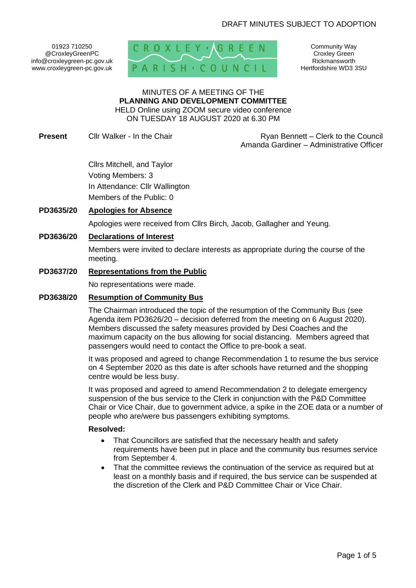01923 710250 @CroxleyGreenPC info@croxleygreen-pc.gov.uk www.croxleygreen-pc.gov.uk



Community Way Croxley Green Rickmansworth Hertfordshire WD3 3SU

#### MINUTES OF A MEETING OF THE **PLANNING AND DEVELOPMENT COMMITTEE** HELD Online using ZOOM secure video conference

ON TUESDAY 18 AUGUST 2020 at 6.30 PM

**Present** Cllr Walker - In the Chair **Ryan Bennett** – Clerk to the Council Amanda Gardiner – Administrative Officer

> Cllrs Mitchell, and Taylor Voting Members: 3 In Attendance: Cllr Wallington Members of the Public: 0

## **PD3635/20 Apologies for Absence**

Apologies were received from Cllrs Birch, Jacob, Gallagher and Yeung.

### **PD3636/20 Declarations of Interest**

Members were invited to declare interests as appropriate during the course of the meeting.

### **PD3637/20 Representations from the Public**

No representations were made.

### **PD3638/20 Resumption of Community Bus**

The Chairman introduced the topic of the resumption of the Community Bus (see Agenda item PD3626/20 – decision deferred from the meeting on 6 August 2020). Members discussed the safety measures provided by Desi Coaches and the maximum capacity on the bus allowing for social distancing. Members agreed that passengers would need to contact the Office to pre-book a seat.

It was proposed and agreed to change Recommendation 1 to resume the bus service on 4 September 2020 as this date is after schools have returned and the shopping centre would be less busy.

It was proposed and agreed to amend Recommendation 2 to delegate emergency suspension of the bus service to the Clerk in conjunction with the P&D Committee Chair or Vice Chair, due to government advice, a spike in the ZOE data or a number of people who are/were bus passengers exhibiting symptoms.

#### **Resolved:**

- That Councillors are satisfied that the necessary health and safety requirements have been put in place and the community bus resumes service from September 4.
- That the committee reviews the continuation of the service as required but at least on a monthly basis and if required, the bus service can be suspended at the discretion of the Clerk and P&D Committee Chair or Vice Chair.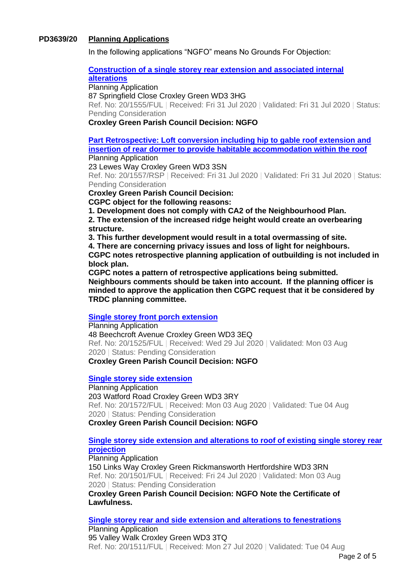## **PD3639/20 Planning Applications**

In the following applications "NGFO" means No Grounds For Objection:

#### **[Construction of a single storey rear extension and associated internal](https://www3.threerivers.gov.uk/online-applications/applicationDetails.do?activeTab=summary&keyVal=QEBNJRQFJYD00&prevPage=inTray)**

**[alterations](https://www3.threerivers.gov.uk/online-applications/applicationDetails.do?activeTab=summary&keyVal=QEBNJRQFJYD00&prevPage=inTray)**

Planning Application

87 Springfield Close Croxley Green WD3 3HG

Ref. No: 20/1555/FUL | Received: Fri 31 Jul 2020 | Validated: Fri 31 Jul 2020 | Status: Pending Consideration

#### **Croxley Green Parish Council Decision: NGFO**

**[Part Retrospective: Loft conversion including hip to gable roof extension and](https://www3.threerivers.gov.uk/online-applications/applicationDetails.do?activeTab=summary&keyVal=QEBNKNQFJYH00&prevPage=inTray)  insertion of rear dormer to provide [habitable accommodation within the roof](https://www3.threerivers.gov.uk/online-applications/applicationDetails.do?activeTab=summary&keyVal=QEBNKNQFJYH00&prevPage=inTray)** Planning Application

23 Lewes Way Croxley Green WD3 3SN

Ref. No: 20/1557/RSP | Received: Fri 31 Jul 2020 | Validated: Fri 31 Jul 2020 | Status: Pending Consideration

**Croxley Green Parish Council Decision:**

**CGPC object for the following reasons:**

**1. Development does not comply with CA2 of the Neighbourhood Plan.**

**2. The extension of the increased ridge height would create an overbearing structure.** 

**3. This further development would result in a total overmassing of site.**

**4. There are concerning privacy issues and loss of light for neighbours. CGPC notes retrospective planning application of outbuilding is not included in** 

**block plan.**

**CGPC notes a pattern of retrospective applications being submitted. Neighbours comments should be taken into account. If the planning officer is minded to approve the application then CGPC request that it be considered by TRDC planning committee.**

### **[Single storey front porch extension](https://www3.threerivers.gov.uk/online-applications/applicationDetails.do?activeTab=summary&keyVal=QE7Y8ZQFJWP00&prevPage=inTray)**

Planning Application 48 Beechcroft Avenue Croxley Green WD3 3EQ Ref. No: 20/1525/FUL | Received: Wed 29 Jul 2020 | Validated: Mon 03 Aug 2020 | Status: Pending Consideration **Croxley Green Parish Council Decision: NGFO**

#### **[Single storey side extension](https://www3.threerivers.gov.uk/online-applications/applicationDetails.do?activeTab=summary&keyVal=QEH7KRQFJZF00&prevPage=inTray)**

Planning Application 203 Watford Road Croxley Green WD3 3RY Ref. No: 20/1572/FUL | Received: Mon 03 Aug 2020 | Validated: Tue 04 Aug 2020 | Status: Pending Consideration **Croxley Green Parish Council Decision: NGFO**

## **[Single storey side extension and alterations to roof of existing single storey rear](https://www3.threerivers.gov.uk/online-applications/applicationDetails.do?activeTab=summary&keyVal=QDZ7P0QF0DC00&prevPage=inTray)  [projection](https://www3.threerivers.gov.uk/online-applications/applicationDetails.do?activeTab=summary&keyVal=QDZ7P0QF0DC00&prevPage=inTray)**

Planning Application

150 Links Way Croxley Green Rickmansworth Hertfordshire WD3 3RN Ref. No: 20/1501/FUL | Received: Fri 24 Jul 2020 | Validated: Mon 03 Aug 2020 | Status: Pending Consideration

**Croxley Green Parish Council Decision: NGFO Note the Certificate of Lawfulness.**

**[Single storey rear and side extension and alterations to fenestrations](https://www3.threerivers.gov.uk/online-applications/applicationDetails.do?activeTab=summary&keyVal=QE4JXGQFJW200&prevPage=inTray)**

Planning Application 95 Valley Walk Croxley Green WD3 3TQ Ref. No: 20/1511/FUL | Received: Mon 27 Jul 2020 | Validated: Tue 04 Aug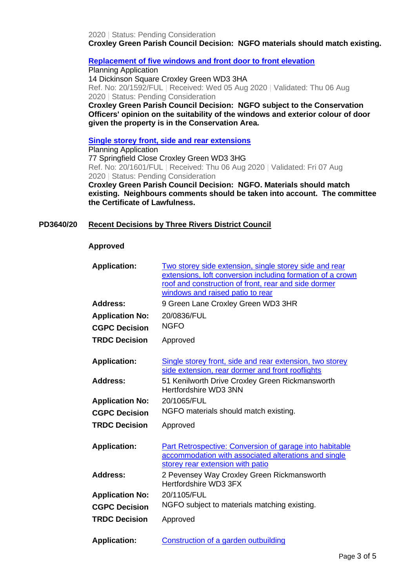2020 | Status: Pending Consideration **Croxley Green Parish Council Decision: NGFO materials should match existing.**

#### **[Replacement of five windows and front door to front elevation](https://www3.threerivers.gov.uk/online-applications/applicationDetails.do?activeTab=summary&keyVal=QEKWYMQFK0H00&prevPage=inTray)**

Planning Application 14 Dickinson Square Croxley Green WD3 3HA Ref. No: 20/1592/FUL | Received: Wed 05 Aug 2020 | Validated: Thu 06 Aug 2020 | Status: Pending Consideration

**Croxley Green Parish Council Decision: NGFO subject to the Conservation Officers' opinion on the suitability of the windows and exterior colour of door given the property is in the Conservation Area.**

**[Single storey front, side and rear extensions](https://www3.threerivers.gov.uk/online-applications/applicationDetails.do?activeTab=summary&keyVal=QEMRM8QFK0Y00&prevPage=inTray)**

Planning Application 77 Springfield Close Croxley Green WD3 3HG Ref. No: 20/1601/FUL | Received: Thu 06 Aug 2020 | Validated: Fri 07 Aug 2020 | Status: Pending Consideration

**Croxley Green Parish Council Decision: NGFO. Materials should match existing. Neighbours comments should be taken into account. The committee the Certificate of Lawfulness.**

### **PD3640/20 Recent Decisions by Three Rivers District Council**

#### **Approved**

| <b>Application:</b>    | Two storey side extension, single storey side and rear<br>extensions, loft conversion including formation of a crown<br>roof and construction of front, rear and side dormer<br>windows and raised patio to rear |
|------------------------|------------------------------------------------------------------------------------------------------------------------------------------------------------------------------------------------------------------|
| <b>Address:</b>        | 9 Green Lane Croxley Green WD3 3HR                                                                                                                                                                               |
| <b>Application No:</b> | 20/0836/FUL                                                                                                                                                                                                      |
| <b>CGPC Decision</b>   | <b>NGFO</b>                                                                                                                                                                                                      |
| <b>TRDC Decision</b>   | Approved                                                                                                                                                                                                         |
| <b>Application:</b>    | Single storey front, side and rear extension, two storey<br>side extension, rear dormer and front rooflights                                                                                                     |
| <b>Address:</b>        | 51 Kenilworth Drive Croxley Green Rickmansworth<br>Hertfordshire WD3 3NN                                                                                                                                         |
| <b>Application No:</b> | 20/1065/FUL                                                                                                                                                                                                      |
| <b>CGPC Decision</b>   | NGFO materials should match existing.                                                                                                                                                                            |
| <b>TRDC Decision</b>   | Approved                                                                                                                                                                                                         |
| <b>Application:</b>    | Part Retrospective: Conversion of garage into habitable<br>accommodation with associated alterations and single<br>storey rear extension with patio                                                              |
| <b>Address:</b>        | 2 Pevensey Way Croxley Green Rickmansworth<br>Hertfordshire WD3 3FX                                                                                                                                              |
| <b>Application No:</b> | 20/1105/FUL                                                                                                                                                                                                      |
| <b>CGPC Decision</b>   | NGFO subject to materials matching existing.                                                                                                                                                                     |
| <b>TRDC Decision</b>   | Approved                                                                                                                                                                                                         |
| <b>Application:</b>    | Construction of a garden outbuilding                                                                                                                                                                             |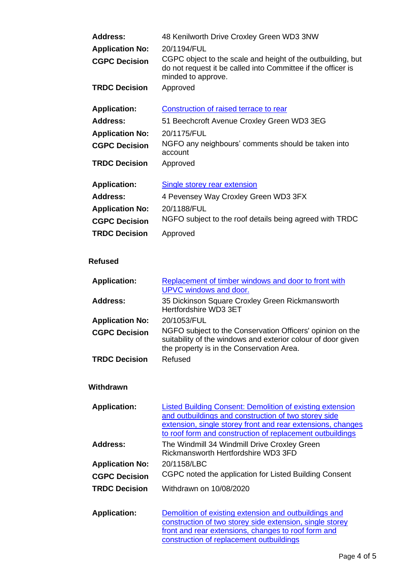| <b>Address:</b>        | 48 Kenilworth Drive Croxley Green WD3 3NW                                                                                                         |
|------------------------|---------------------------------------------------------------------------------------------------------------------------------------------------|
| <b>Application No:</b> | 20/1194/FUL                                                                                                                                       |
| <b>CGPC Decision</b>   | CGPC object to the scale and height of the outbuilding, but<br>do not request it be called into Committee if the officer is<br>minded to approve. |
| <b>TRDC Decision</b>   | Approved                                                                                                                                          |
| <b>Application:</b>    | Construction of raised terrace to rear                                                                                                            |
| <b>Address:</b>        | 51 Beechcroft Avenue Croxley Green WD3 3EG                                                                                                        |
| <b>Application No:</b> | 20/1175/FUL                                                                                                                                       |
| <b>CGPC Decision</b>   | NGFO any neighbours' comments should be taken into<br>account                                                                                     |
| <b>TRDC Decision</b>   | Approved                                                                                                                                          |
| <b>Application:</b>    | <b>Single storey rear extension</b>                                                                                                               |
| <b>Address:</b>        | 4 Pevensey Way Croxley Green WD3 3FX                                                                                                              |
| <b>Application No:</b> | 20/1188/FUL                                                                                                                                       |
| <b>CGPC Decision</b>   | NGFO subject to the roof details being agreed with TRDC                                                                                           |
| <b>TRDC Decision</b>   | Approved                                                                                                                                          |
|                        |                                                                                                                                                   |

# **Refused**

| <b>Application:</b>    | Replacement of timber windows and door to front with<br>UPVC windows and door.                                                                                         |
|------------------------|------------------------------------------------------------------------------------------------------------------------------------------------------------------------|
| <b>Address:</b>        | 35 Dickinson Square Croxley Green Rickmansworth<br>Hertfordshire WD3 3ET                                                                                               |
| <b>Application No:</b> | 20/1053/FUL                                                                                                                                                            |
| <b>CGPC Decision</b>   | NGFO subject to the Conservation Officers' opinion on the<br>suitability of the windows and exterior colour of door given<br>the property is in the Conservation Area. |
| <b>TRDC Decision</b>   | Refused                                                                                                                                                                |

# **Withdrawn**

| <b>Application:</b>    | Listed Building Consent: Demolition of existing extension                           |
|------------------------|-------------------------------------------------------------------------------------|
|                        | and outbuildings and construction of two storey side                                |
|                        | extension, single storey front and rear extensions, changes                         |
|                        | to roof form and construction of replacement outbuildings                           |
| <b>Address:</b>        | The Windmill 34 Windmill Drive Croxley Green<br>Rickmansworth Hertfordshire WD3 3FD |
| <b>Application No:</b> | 20/1158/LBC                                                                         |
| <b>CGPC Decision</b>   | CGPC noted the application for Listed Building Consent                              |
| <b>TRDC Decision</b>   | Withdrawn on 10/08/2020                                                             |
|                        |                                                                                     |

| <b>Application:</b> | Demolition of existing extension and outbuildings and    |
|---------------------|----------------------------------------------------------|
|                     | construction of two storey side extension, single storey |
|                     | front and rear extensions, changes to roof form and      |
|                     | construction of replacement outbuildings                 |